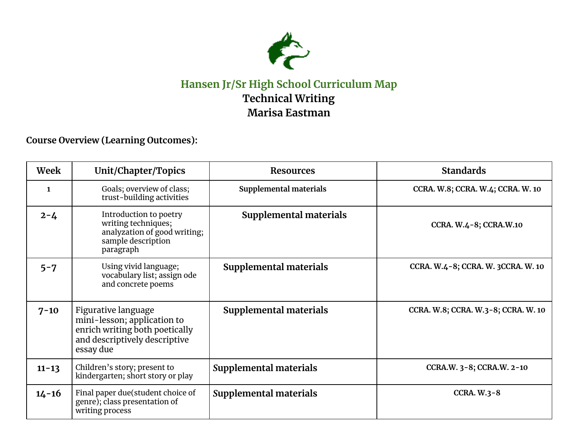

## **Hansen Jr/Sr High School Curriculum Map Technical Writing Marisa Eastman**

**Course Overview (Learning Outcomes):**

| Week      | Unit/Chapter/Topics                                                                                                                | <b>Resources</b>       | <b>Standards</b>                    |
|-----------|------------------------------------------------------------------------------------------------------------------------------------|------------------------|-------------------------------------|
| 1         | Goals; overview of class;<br>trust-building activities                                                                             | Supplemental materials | CCRA. W.8; CCRA. W.4; CCRA. W. 10   |
| $2 - 4$   | Introduction to poetry<br>writing techniques;<br>analyzation of good writing;<br>sample description<br>paragraph                   | Supplemental materials | CCRA. W.4-8; CCRA.W.10              |
| $5 - 7$   | Using vivid language;<br>vocabulary list; assign ode<br>and concrete poems                                                         | Supplemental materials | CCRA. W.4-8; CCRA. W. 3CCRA. W. 10  |
| $7 - 10$  | Figurative language<br>mini-lesson; application to<br>enrich writing both poetically<br>and descriptively descriptive<br>essay due | Supplemental materials | CCRA. W.8; CCRA. W.3-8; CCRA. W. 10 |
| $11 - 13$ | Children's story; present to<br>kindergarten; short story or play                                                                  | Supplemental materials | CCRA.W. 3-8; CCRA.W. 2-10           |
| $14 - 16$ | Final paper due (student choice of<br>genre); class presentation of<br>writing process                                             | Supplemental materials | <b>CCRA. W.3-8</b>                  |